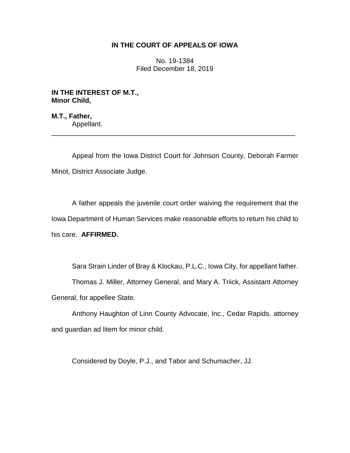## **IN THE COURT OF APPEALS OF IOWA**

No. 19-1384 Filed December 18, 2019

**IN THE INTEREST OF M.T., Minor Child,**

**M.T., Father,** Appellant.

Appeal from the Iowa District Court for Johnson County, Deborah Farmer Minot, District Associate Judge.

\_\_\_\_\_\_\_\_\_\_\_\_\_\_\_\_\_\_\_\_\_\_\_\_\_\_\_\_\_\_\_\_\_\_\_\_\_\_\_\_\_\_\_\_\_\_\_\_\_\_\_\_\_\_\_\_\_\_\_\_\_\_\_\_

A father appeals the juvenile court order waiving the requirement that the Iowa Department of Human Services make reasonable efforts to return his child to his care. **AFFIRMED.**

Sara Strain Linder of Bray & Klockau, P.L.C., Iowa City, for appellant father.

Thomas J. Miller, Attorney General, and Mary A. Triick, Assistant Attorney General, for appellee State.

Anthony Haughton of Linn County Advocate, Inc., Cedar Rapids, attorney and guardian ad litem for minor child.

Considered by Doyle, P.J., and Tabor and Schumacher, JJ.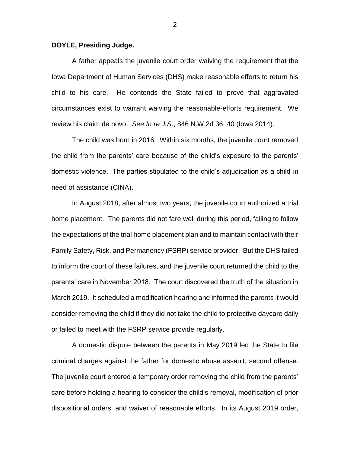## **DOYLE, Presiding Judge.**

A father appeals the juvenile court order waiving the requirement that the Iowa Department of Human Services (DHS) make reasonable efforts to return his child to his care. He contends the State failed to prove that aggravated circumstances exist to warrant waiving the reasonable-efforts requirement. We review his claim de novo. *See In re J.S.*, 846 N.W.2d 36, 40 (Iowa 2014).

The child was born in 2016. Within six months, the juvenile court removed the child from the parents' care because of the child's exposure to the parents' domestic violence. The parties stipulated to the child's adjudication as a child in need of assistance (CINA).

In August 2018, after almost two years, the juvenile court authorized a trial home placement. The parents did not fare well during this period, failing to follow the expectations of the trial home placement plan and to maintain contact with their Family Safety, Risk, and Permanency (FSRP) service provider. But the DHS failed to inform the court of these failures, and the juvenile court returned the child to the parents' care in November 2018. The court discovered the truth of the situation in March 2019. It scheduled a modification hearing and informed the parents it would consider removing the child if they did not take the child to protective daycare daily or failed to meet with the FSRP service provide regularly.

A domestic dispute between the parents in May 2019 led the State to file criminal charges against the father for domestic abuse assault, second offense. The juvenile court entered a temporary order removing the child from the parents' care before holding a hearing to consider the child's removal, modification of prior dispositional orders, and waiver of reasonable efforts. In its August 2019 order,

2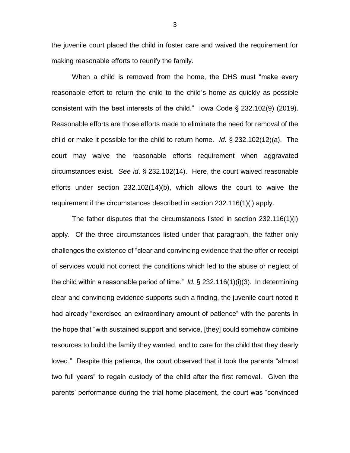the juvenile court placed the child in foster care and waived the requirement for making reasonable efforts to reunify the family.

When a child is removed from the home, the DHS must "make every reasonable effort to return the child to the child's home as quickly as possible consistent with the best interests of the child." Iowa Code § 232.102(9) (2019). Reasonable efforts are those efforts made to eliminate the need for removal of the child or make it possible for the child to return home. *Id.* § 232.102(12)(a). The court may waive the reasonable efforts requirement when aggravated circumstances exist. *See id*. § 232.102(14). Here, the court waived reasonable efforts under section 232.102(14)(b), which allows the court to waive the requirement if the circumstances described in section 232.116(1)(i) apply.

The father disputes that the circumstances listed in section 232.116(1)(i) apply. Of the three circumstances listed under that paragraph, the father only challenges the existence of "clear and convincing evidence that the offer or receipt of services would not correct the conditions which led to the abuse or neglect of the child within a reasonable period of time." *Id.* § 232.116(1)(i)(3). In determining clear and convincing evidence supports such a finding, the juvenile court noted it had already "exercised an extraordinary amount of patience" with the parents in the hope that "with sustained support and service, [they] could somehow combine resources to build the family they wanted, and to care for the child that they dearly loved." Despite this patience, the court observed that it took the parents "almost two full years" to regain custody of the child after the first removal. Given the parents' performance during the trial home placement, the court was "convinced

3